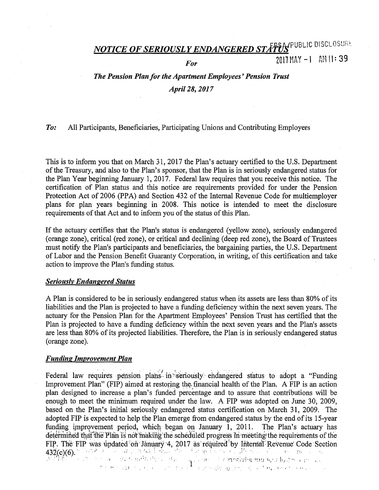# *NOTICE OF SERIOUSLY ENDANGERED STATUS* PUBLIC DISCLOSURE

## *For* 2017 MAY -1 AM 11:39

## *The Pension Plan for the Apartment Employees' Pension Trust April 28, 2017*

#### *To:* All Participants, Beneficiaries, Participating Unions and Contributing Employers

This is to inform you that on March 31, 2017 the Plan's actuary certified to the U.S. Department of the Treasury, and also to the Plan's sponsor, that the Plan is in seriously endangered status for the Plan Year beginning January 1, 2017. Federal law requires that you receive this notice. The certification of Plan status and this notice are requirements provided for under the Pension Protection Act of 2006 (PPA) and Section 432 of the Internal Revenue Code for multiemployer plans for plan years beginning in 2008. This notice is intended to meet the disclosure requirements of that Act and to inform you of the status of this Plan.

If the actuary certifies that the Plan's status is endangered (yellow zone), seriously endangered (orange zone), critical (red zone), or critical and declining (deep red zone), the Board of Trustees must notify the Plan's participants and beneficiaries, the bargaining parties, the U.S. Department . of Labor and the Pension Benefit Guaranty Corporation, in writing, of this certification and take action to improve the Plan's funding status.

#### *Seriously Endangered Status*

A Plan is considered to be in seriously endangered status when its assets are less than 80% of its liabilities and the Plan is projected to have a funding deficiency within the next seven years. The actuary for the Pension Plan for the Apartment Employees' Pension Trust has certified that the Plan is projected to have a funding deficiency within the next seven years and the Plan's assets are less than 80% of its projected liabilities. Therefore, the Plan is in seriously endangered status (orange zone).

#### *Funding Improvement Plan*

Federal law requires pension plans in seriously endangered status to adopt a "Funding" Improvement Plan" (FIP) aimed at restoring the financial health of the Plan. A FIP is an action plan designed to increase a plan's funded percentage and to assure that contributions will be enough to meet the minimum required under the law. A FIP was adopted on June 30, 2009, based on the Plan's initial seriously endangered status certification on March 31, 2009. The adopted FIP is expected to help the Plan emerge from endangered status by the end of its 15-year funding improvement period, which began on January 1, 2011. The Plan's actuary has determined that the Plan is not making the scheduled progress in meeting the requirements of the FIP. The FIP was updated on January 4, 2017 as required by Internal Revenue Code Section 4'.3~(c)(6).· .\_.\_,, ·' *·*1 ., ',\_;: •· ·' • .; · *'.!·'* · . -· .:'. · .· l ,,, • . ::.•';:;- . . ·i '.', ·, • ,.;: •" •! 1· · ·;1· ,' ;>'\•-,;-:;..,ri';; ·~!!') l>.'.i l•.,1.~··•. I;'· , •  $\theta \sim 120$  , i.e.  $\sqrt{1}$  . This is the set of  $\frac{1}{2}$  ,  $\theta$  ,  $\theta$  is  $\theta$  if  $\theta$  is  $\theta$  in  $\theta$  is the set of  $\theta$  in  $\theta$